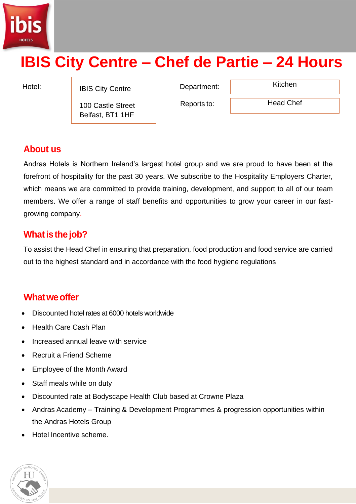

# **IBIS City Centre – Chef de Partie – 24 Hours**

Hotel: IBIS City Centre **Department:** Kitchen

100 Castle Street Belfast, BT1 1HF

Reports to:

Head Chef

# **About us**

Andras Hotels is Northern Ireland's largest hotel group and we are proud to have been at the forefront of hospitality for the past 30 years. We subscribe to the Hospitality Employers Charter, which means we are committed to provide training, development, and support to all of our team members. We offer a range of staff benefits and opportunities to grow your career in our fastgrowing company.

# **What is the job?**

To assist the Head Chef in ensuring that preparation, food production and food service are carried out to the highest standard and in accordance with the food hygiene regulations

## **Whatweoffer**

- Discounted hotel rates at 6000 hotels worldwide
- Health Care Cash Plan
- Increased annual leave with service
- Recruit a Friend Scheme
- Employee of the Month Award
- Staff meals while on duty
- Discounted rate at Bodyscape Health Club based at Crowne Plaza
- Andras Academy Training & Development Programmes & progression opportunities within the Andras Hotels Group
- Hotel Incentive scheme.

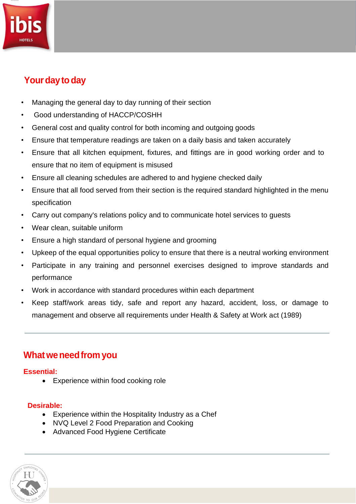# **Your day to day**

- Managing the general day to day running of their section
- Good understanding of HACCP/COSHH
- General cost and quality control for both incoming and outgoing goods
- Ensure that temperature readings are taken on a daily basis and taken accurately
- Ensure that all kitchen equipment, fixtures, and fittings are in good working order and to ensure that no item of equipment is misused
- Ensure all cleaning schedules are adhered to and hygiene checked daily
- Ensure that all food served from their section is the required standard highlighted in the menu specification
- Carry out company's relations policy and to communicate hotel services to guests
- Wear clean, suitable uniform
- Ensure a high standard of personal hygiene and grooming
- Upkeep of the equal opportunities policy to ensure that there is a neutral working environment
- Participate in any training and personnel exercises designed to improve standards and performance
- Work in accordance with standard procedures within each department
- Keep staff/work areas tidy, safe and report any hazard, accident, loss, or damage to management and observe all requirements under Health & Safety at Work act (1989)

## **Whatweneedfrom you**

#### **Essential:**

• Experience within food cooking role

#### **Desirable:**

- Experience within the Hospitality Industry as a Chef
- NVQ Level 2 Food Preparation and Cooking
- Advanced Food Hygiene Certificate